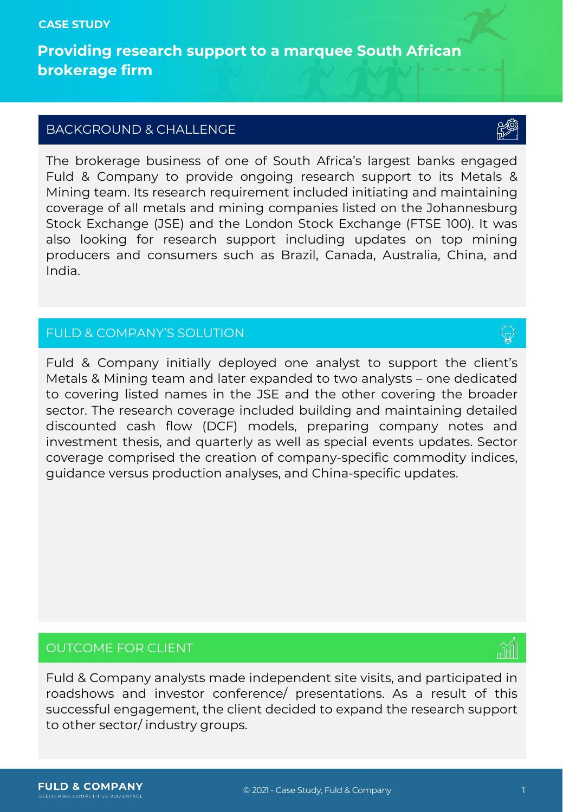#### **CASE STUDY**

# **Providing research support to a marquee South African brokerage firm**

## BACKGROUND & CHALLENGE

The brokerage business of one of South Africa's largest banks engaged Fuld & Company to provide ongoing research support to its Metals & Mining team. Its research requirement included initiating and maintaining coverage of all metals and mining companies listed on the Johannesburg Stock Exchange (JSE) and the London Stock Exchange (FTSE 100). It was also looking for research support including updates on top mining producers and consumers such as Brazil, Canada, Australia, China, and India.

# FULD & COMPANY'S SOLUTION

Fuld & Company initially deployed one analyst to support the client's Metals & Mining team and later expanded to two analysts – one dedicated to covering listed names in the JSE and the other covering the broader sector. The research coverage included building and maintaining detailed discounted cash flow (DCF) models, preparing company notes and investment thesis, and quarterly as well as special events updates. Sector coverage comprised the creation of company-specific commodity indices, guidance versus production analyses, and China-specific updates.

### OUTCOME FOR CLIENT

Fuld & Company analysts made independent site visits, and participated in roadshows and investor conference/ presentations. As a result of this successful engagement, the client decided to expand the research support to other sector/ industry groups.